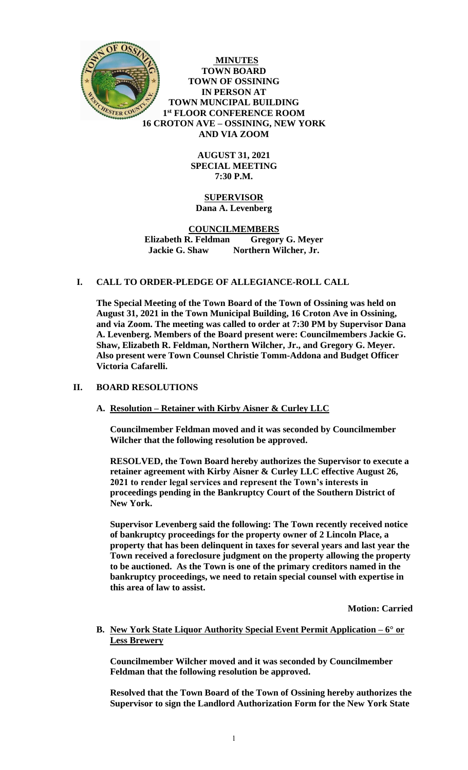

**MINUTES TOWN BOARD TOWN OF OSSINING IN PERSON AT TOWN MUNCIPAL BUILDING 1 st FLOOR CONFERENCE ROOM 16 CROTON AVE – OSSINING, NEW YORK AND VIA ZOOM**

> **AUGUST 31, 2021 SPECIAL MEETING 7:30 P.M.**

# **SUPERVISOR Dana A. Levenberg**

#### **COUNCILMEMBERS Elizabeth R. Feldman Gregory G. Meyer Jackie G. Shaw Northern Wilcher, Jr.**

## **I. CALL TO ORDER-PLEDGE OF ALLEGIANCE-ROLL CALL**

**The Special Meeting of the Town Board of the Town of Ossining was held on August 31, 2021 in the Town Municipal Building, 16 Croton Ave in Ossining, and via Zoom. The meeting was called to order at 7:30 PM by Supervisor Dana A. Levenberg. Members of the Board present were: Councilmembers Jackie G. Shaw, Elizabeth R. Feldman, Northern Wilcher, Jr., and Gregory G. Meyer. Also present were Town Counsel Christie Tomm-Addona and Budget Officer Victoria Cafarelli.** 

## **II. BOARD RESOLUTIONS**

## **A. Resolution – Retainer with Kirby Aisner & Curley LLC**

**Councilmember Feldman moved and it was seconded by Councilmember Wilcher that the following resolution be approved.** 

**RESOLVED, the Town Board hereby authorizes the Supervisor to execute a retainer agreement with Kirby Aisner & Curley LLC effective August 26, 2021 to render legal services and represent the Town's interests in proceedings pending in the Bankruptcy Court of the Southern District of New York.** 

**Supervisor Levenberg said the following: The Town recently received notice of bankruptcy proceedings for the property owner of 2 Lincoln Place, a property that has been delinquent in taxes for several years and last year the Town received a foreclosure judgment on the property allowing the property to be auctioned. As the Town is one of the primary creditors named in the bankruptcy proceedings, we need to retain special counsel with expertise in this area of law to assist.**

**Motion: Carried**

#### **B. New York State Liquor Authority Special Event Permit Application – 6° or Less Brewery**

**Councilmember Wilcher moved and it was seconded by Councilmember Feldman that the following resolution be approved.** 

**Resolved that the Town Board of the Town of Ossining hereby authorizes the Supervisor to sign the Landlord Authorization Form for the New York State**